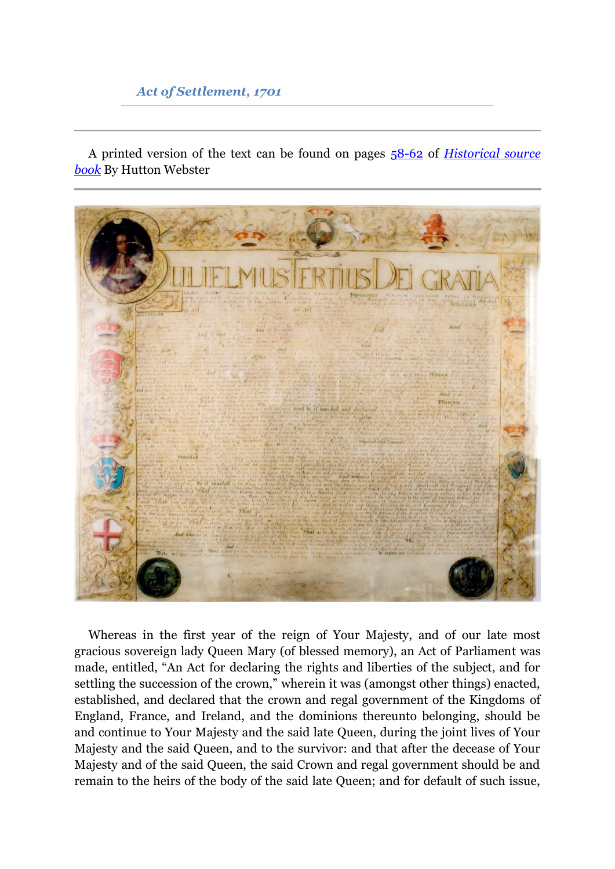*Act of Settlement, 1701*

A printed version of the text can be found on pages [58-62](http://books.google.com/books?id=6rQLAAAAIAAJ&dq=act%20of%20settlement%201701&pg=PA58#v=onepage&q=act%20of%20settlement%201701&f=false) of *[Historical source](http://books.google.com/books?id=6rQLAAAAIAAJ)  [book](http://books.google.com/books?id=6rQLAAAAIAAJ)* By Hutton Webster



Whereas in the first year of the reign of Your Majesty, and of our late most gracious sovereign lady Queen Mary (of blessed memory), an Act of Parliament was made, entitled, "An Act for declaring the rights and liberties of the subject, and for settling the succession of the crown," wherein it was (amongst other things) enacted, established, and declared that the crown and regal government of the Kingdoms of England, France, and Ireland, and the dominions thereunto belonging, should be and continue to Your Majesty and the said late Queen, during the joint lives of Your Majesty and the said Queen, and to the survivor: and that after the decease of Your Majesty and of the said Queen, the said Crown and regal government should be and remain to the heirs of the body of the said late Queen; and for default of such issue,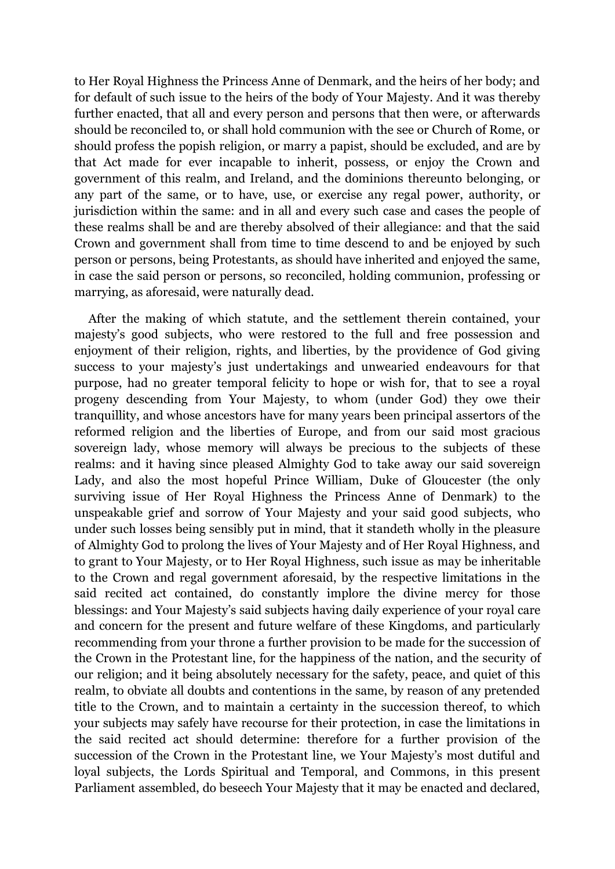to Her Royal Highness the Princess Anne of Denmark, and the heirs of her body; and for default of such issue to the heirs of the body of Your Majesty. And it was thereby further enacted, that all and every person and persons that then were, or afterwards should be reconciled to, or shall hold communion with the see or Church of Rome, or should profess the popish religion, or marry a papist, should be excluded, and are by that Act made for ever incapable to inherit, possess, or enjoy the Crown and government of this realm, and Ireland, and the dominions thereunto belonging, or any part of the same, or to have, use, or exercise any regal power, authority, or jurisdiction within the same: and in all and every such case and cases the people of these realms shall be and are thereby absolved of their allegiance: and that the said Crown and government shall from time to time descend to and be enjoyed by such person or persons, being Protestants, as should have inherited and enjoyed the same, in case the said person or persons, so reconciled, holding communion, professing or marrying, as aforesaid, were naturally dead.

After the making of which statute, and the settlement therein contained, your majesty's good subjects, who were restored to the full and free possession and enjoyment of their religion, rights, and liberties, by the providence of God giving success to your majesty's just undertakings and unwearied endeavours for that purpose, had no greater temporal felicity to hope or wish for, that to see a royal progeny descending from Your Majesty, to whom (under God) they owe their tranquillity, and whose ancestors have for many years been principal assertors of the reformed religion and the liberties of Europe, and from our said most gracious sovereign lady, whose memory will always be precious to the subjects of these realms: and it having since pleased Almighty God to take away our said sovereign Lady, and also the most hopeful Prince William, Duke of Gloucester (the only surviving issue of Her Royal Highness the Princess Anne of Denmark) to the unspeakable grief and sorrow of Your Majesty and your said good subjects, who under such losses being sensibly put in mind, that it standeth wholly in the pleasure of Almighty God to prolong the lives of Your Majesty and of Her Royal Highness, and to grant to Your Majesty, or to Her Royal Highness, such issue as may be inheritable to the Crown and regal government aforesaid, by the respective limitations in the said recited act contained, do constantly implore the divine mercy for those blessings: and Your Majesty's said subjects having daily experience of your royal care and concern for the present and future welfare of these Kingdoms, and particularly recommending from your throne a further provision to be made for the succession of the Crown in the Protestant line, for the happiness of the nation, and the security of our religion; and it being absolutely necessary for the safety, peace, and quiet of this realm, to obviate all doubts and contentions in the same, by reason of any pretended title to the Crown, and to maintain a certainty in the succession thereof, to which your subjects may safely have recourse for their protection, in case the limitations in the said recited act should determine: therefore for a further provision of the succession of the Crown in the Protestant line, we Your Majesty's most dutiful and loyal subjects, the Lords Spiritual and Temporal, and Commons, in this present Parliament assembled, do beseech Your Majesty that it may be enacted and declared,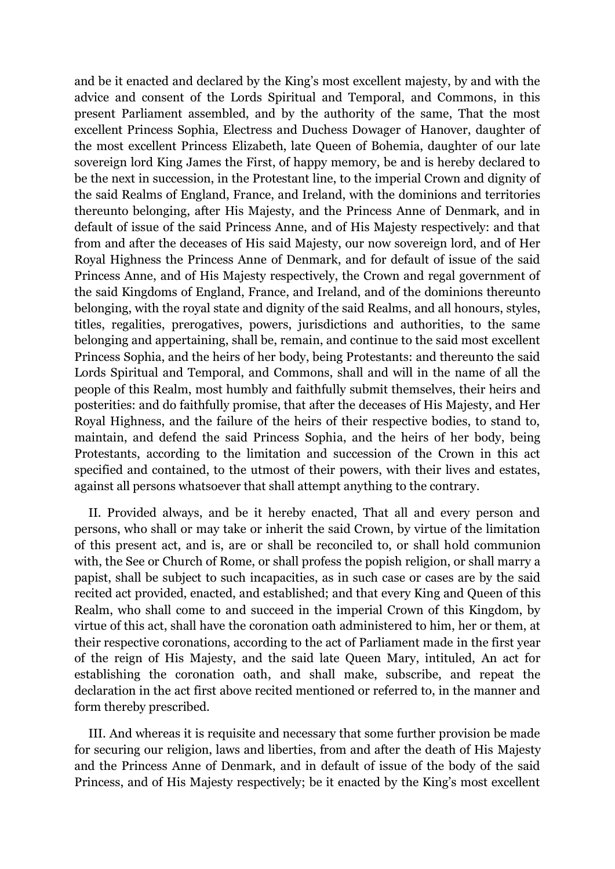and be it enacted and declared by the King's most excellent majesty, by and with the advice and consent of the Lords Spiritual and Temporal, and Commons, in this present Parliament assembled, and by the authority of the same, That the most excellent Princess Sophia, Electress and Duchess Dowager of Hanover, daughter of the most excellent Princess Elizabeth, late Queen of Bohemia, daughter of our late sovereign lord King James the First, of happy memory, be and is hereby declared to be the next in succession, in the Protestant line, to the imperial Crown and dignity of the said Realms of England, France, and Ireland, with the dominions and territories thereunto belonging, after His Majesty, and the Princess Anne of Denmark, and in default of issue of the said Princess Anne, and of His Majesty respectively: and that from and after the deceases of His said Majesty, our now sovereign lord, and of Her Royal Highness the Princess Anne of Denmark, and for default of issue of the said Princess Anne, and of His Majesty respectively, the Crown and regal government of the said Kingdoms of England, France, and Ireland, and of the dominions thereunto belonging, with the royal state and dignity of the said Realms, and all honours, styles, titles, regalities, prerogatives, powers, jurisdictions and authorities, to the same belonging and appertaining, shall be, remain, and continue to the said most excellent Princess Sophia, and the heirs of her body, being Protestants: and thereunto the said Lords Spiritual and Temporal, and Commons, shall and will in the name of all the people of this Realm, most humbly and faithfully submit themselves, their heirs and posterities: and do faithfully promise, that after the deceases of His Majesty, and Her Royal Highness, and the failure of the heirs of their respective bodies, to stand to, maintain, and defend the said Princess Sophia, and the heirs of her body, being Protestants, according to the limitation and succession of the Crown in this act specified and contained, to the utmost of their powers, with their lives and estates, against all persons whatsoever that shall attempt anything to the contrary.

II. Provided always, and be it hereby enacted, That all and every person and persons, who shall or may take or inherit the said Crown, by virtue of the limitation of this present act, and is, are or shall be reconciled to, or shall hold communion with, the See or Church of Rome, or shall profess the popish religion, or shall marry a papist, shall be subject to such incapacities, as in such case or cases are by the said recited act provided, enacted, and established; and that every King and Queen of this Realm, who shall come to and succeed in the imperial Crown of this Kingdom, by virtue of this act, shall have the coronation oath administered to him, her or them, at their respective coronations, according to the act of Parliament made in the first year of the reign of His Majesty, and the said late Queen Mary, intituled, [An act for](http://www.jacobite.ca/documents/16890409.htm)  [establishing the coronation oath,](http://www.jacobite.ca/documents/16890409.htm) and shall make, subscribe, and repeat the declaration in the act first above recited mentioned or referred to, in the manner and form thereby prescribed.

III. And whereas it is requisite and necessary that some further provision be made for securing our religion, laws and liberties, from and after the death of His Majesty and the Princess Anne of Denmark, and in default of issue of the body of the said Princess, and of His Majesty respectively; be it enacted by the King's most excellent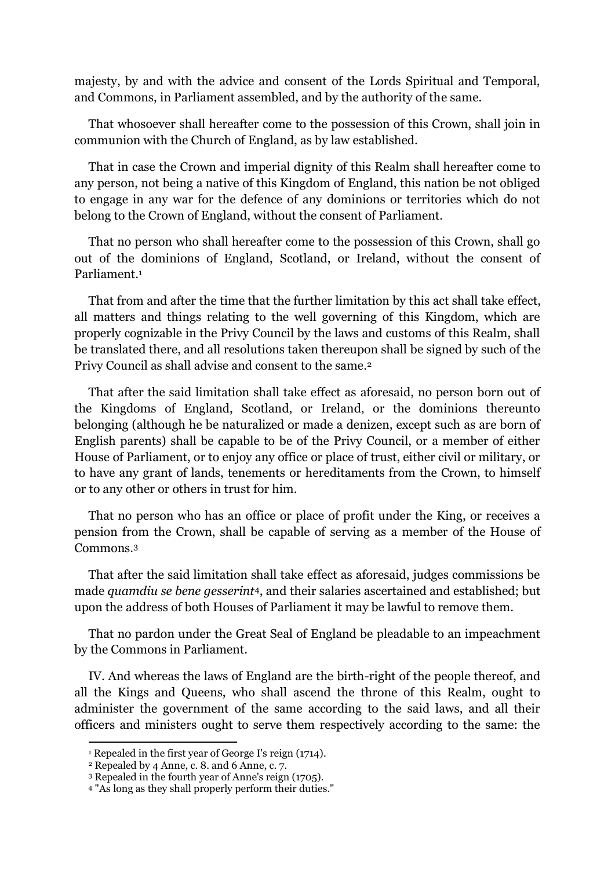majesty, by and with the advice and consent of the Lords Spiritual and Temporal, and Commons, in Parliament assembled, and by the authority of the same.

That whosoever shall hereafter come to the possession of this Crown, shall join in communion with the Church of England, as by law established.

That in case the Crown and imperial dignity of this Realm shall hereafter come to any person, not being a native of this Kingdom of England, this nation be not obliged to engage in any war for the defence of any dominions or territories which do not belong to the Crown of England, without the consent of Parliament.

That no person who shall hereafter come to the possession of this Crown, shall go out of the dominions of England, Scotland, or Ireland, without the consent of Parliament.<sup>1</sup>

That from and after the time that the further limitation by this act shall take effect, all matters and things relating to the well governing of this Kingdom, which are properly cognizable in the Privy Council by the laws and customs of this Realm, shall be translated there, and all resolutions taken thereupon shall be signed by such of the Privy Council as shall advise and consent to the same.<sup>2</sup>

That after the said limitation shall take effect as aforesaid, no person born out of the Kingdoms of England, Scotland, or Ireland, or the dominions thereunto belonging (although he be naturalized or made a denizen, except such as are born of English parents) shall be capable to be of the Privy Council, or a member of either House of Parliament, or to enjoy any office or place of trust, either civil or military, or to have any grant of lands, tenements or hereditaments from the Crown, to himself or to any other or others in trust for him.

That no person who has an office or place of profit under the King, or receives a pension from the Crown, shall be capable of serving as a member of the House of Commons.<sup>3</sup>

That after the said limitation shall take effect as aforesaid, judges commissions be made *quamdiu se bene gesserint*4, and their salaries ascertained and established; but upon the address of both Houses of Parliament it may be lawful to remove them.

That no pardon under the Great Seal of England be pleadable to an impeachment by the Commons in Parliament.

IV. And whereas the laws of England are the birth-right of the people thereof, and all the Kings and Queens, who shall ascend the throne of this Realm, ought to administer the government of the same according to the said laws, and all their officers and ministers ought to serve them respectively according to the same: the

 $\overline{a}$ 

<sup>1</sup> Repealed in the first year of George I's reign (1714).

<sup>2</sup> Repealed by 4 Anne, c. 8. and 6 Anne, c. 7.

<sup>3</sup> Repealed in the fourth year of Anne's reign (1705).

<sup>4</sup> "As long as they shall properly perform their duties."